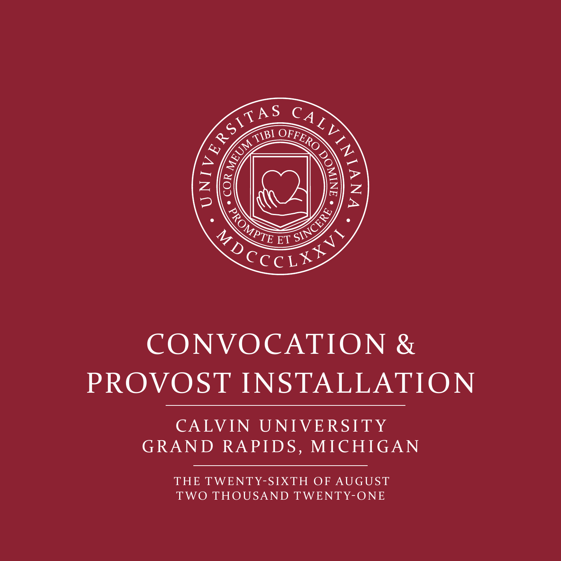

# CONVOCATION & PROVOST INSTALLATION

### CALVIN UNIVERSITY GRAND RAPIDS, MICHIGAN

THE TWENTY-SIXTH OF AUGUST TWO THOUSAND TWENTY-ONE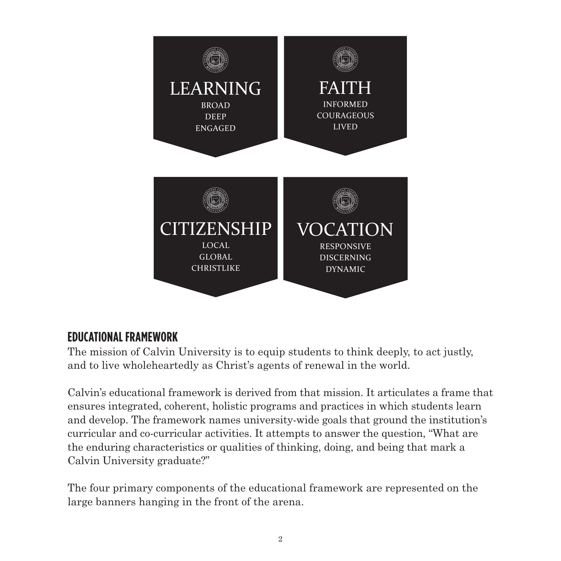

#### **EDUCATIONAL FRAMEWORK**

The mission of Calvin University is to equip students to think deeply, to act justly, and to live wholeheartedly as Christ's agents of renewal in the world.

Calvin's educational framework is derived from that mission. It articulates a frame that ensures integrated, coherent, holistic programs and practices in which students learn and develop. The framework names university-wide goals that ground the institution's curricular and co-curricular activities. It attempts to answer the question, "What are the enduring characteristics or qualities of thinking, doing, and being that mark a Calvin University graduate?"

The four primary components of the educational framework are represented on the large banners hanging in the front of the arena.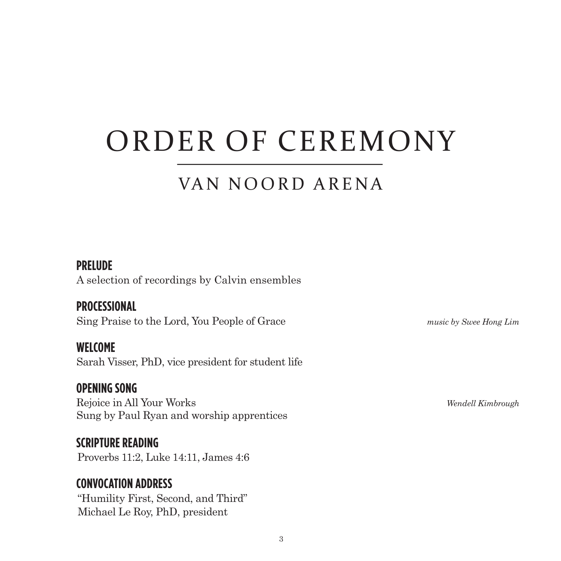## ORDER OF CEREMONY

### VAN NOORD ARENA

#### **PRELUDE**

A selection of recordings by Calvin ensembles

#### **PROCESSIONAL**

Sing Praise to the Lord, You People of Grace *music by Swee Hong Lim* 

**WELCOME**  Sarah Visser, PhD, vice president for student life

 **OPENING SONG**  Rejoice in All Your Works *Wendell Kimbrough*  Sung by Paul Ryan and worship apprentices

 **SCRIPTURE READING** Proverbs 11:2, Luke 14:11, James 4:6

#### **CONVOCATION ADDRESS**

 "Humility First, Second, and Third" Michael Le Roy, PhD, president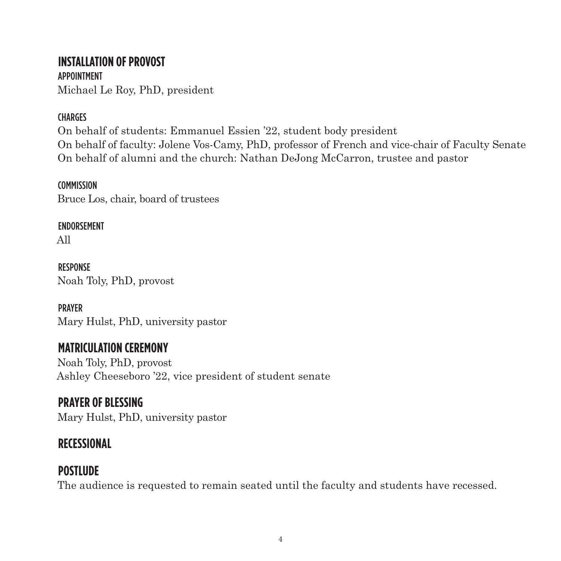#### **INSTALLATION OF PROVOST**  APPOINTMENT

Michael Le Roy, PhD, president

#### **CHARGES**

On behalf of students: Emmanuel Essien '22, student body president On behalf of faculty: Jolene Vos-Camy, PhD, professor of French and vice-chair of Faculty Senate On behalf of alumni and the church: Nathan DeJong McCarron, trustee and pastor

#### **COMMISSION**

Bruce Los, chair, board of trustees

#### ENDORSEMENT

All

**RESPONSE** Noah Toly, PhD, provost

PRAYER Mary Hulst, PhD, university pastor

#### **MATRICULATION CEREMONY**

Noah Toly, PhD, provost Ashley Cheeseboro '22, vice president of student senate

#### **PRAYER OF BLESSING**

Mary Hulst, PhD, university pastor

#### **RECESSIONAL**

#### **POSTLUDE**

The audience is requested to remain seated until the faculty and students have recessed.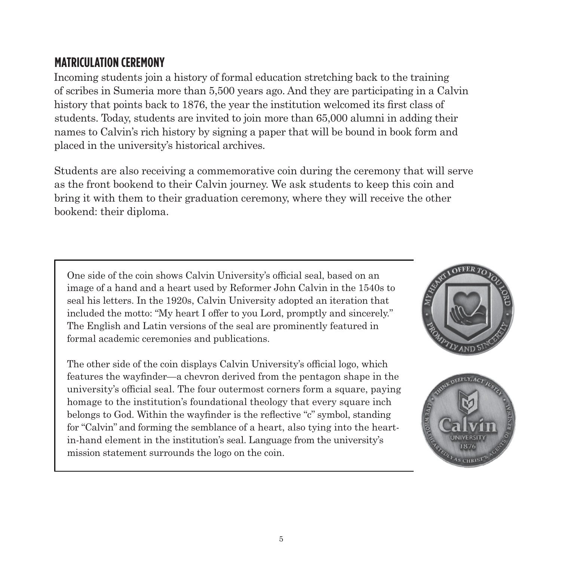#### **MATRICULATION CEREMONY**

Incoming students join a history of formal education stretching back to the training of scribes in Sumeria more than 5,500 years ago. And they are participating in a Calvin history that points back to 1876, the year the institution welcomed its frst class of students. Today, students are invited to join more than 65,000 alumni in adding their names to Calvin's rich history by signing a paper that will be bound in book form and placed in the university's historical archives.

Students are also receiving a commemorative coin during the ceremony that will serve as the front bookend to their Calvin journey. We ask students to keep this coin and bring it with them to their graduation ceremony, where they will receive the other bookend: their diploma.

One side of the coin shows Calvin University's official seal, based on an image of a hand and a heart used by Reformer John Calvin in the 1540s to seal his letters. In the 1920s, Calvin University adopted an iteration that included the motto: "My heart I offer to you Lord, promptly and sincerely." The English and Latin versions of the seal are prominently featured in formal academic ceremonies and publications.

 features the wayfnder—a chevron derived from the pentagon shape in the belongs to God. Within the wayfnder is the refective "c" symbol, standing in-hand element in the institution's seal. Language from the university's mission statement surrounds the logo on the coin. The other side of the coin displays Calvin University's official logo, which university's official seal. The four outermost corners form a square, paying homage to the institution's foundational theology that every square inch for "Calvin" and forming the semblance of a heart, also tying into the heart-



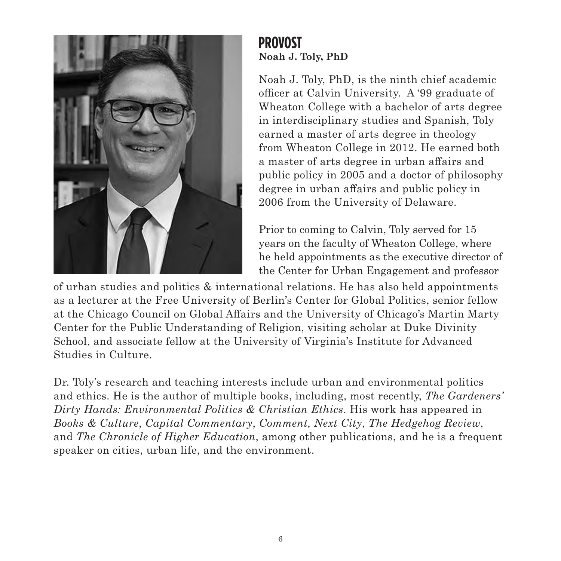

#### **PROVOST Noah J. Toly, PhD**

officer at Calvin University. A '99 graduate of Noah J. Toly, PhD, is the ninth chief academic Wheaton College with a bachelor of arts degree in interdisciplinary studies and Spanish, Toly earned a master of arts degree in theology from Wheaton College in 2012. He earned both a master of arts degree in urban afairs and public policy in 2005 and a doctor of philosophy degree in urban afairs and public policy in 2006 from the University of Delaware.

Prior to coming to Calvin, Toly served for 15 years on the faculty of Wheaton College, where he held appointments as the executive director of the Center for Urban Engagement and professor

of urban studies and politics  $\&$  international relations. He has also held appointments as a lecturer at the Free University of Berlin's Center for Global Politics, senior fellow at the Chicago Council on Global Afairs and the University of Chicago's Martin Marty Center for the Public Understanding of Religion, visiting scholar at Duke Divinity School, and associate fellow at the University of Virginia's Institute for Advanced Studies in Culture.

Dr. Toly's research and teaching interests include urban and environmental politics and ethics. He is the author of multiple books, including, most recently, *The Gardeners' Dirty Hands: Environmental Politics & Christian Ethics*. His work has appeared in *Books & Culture*, *Capital Commentary*, *Comment, Next City*, *The Hedgehog Review*, and *The Chronicle of Higher Education*, among other publications, and he is a frequent speaker on cities, urban life, and the environment.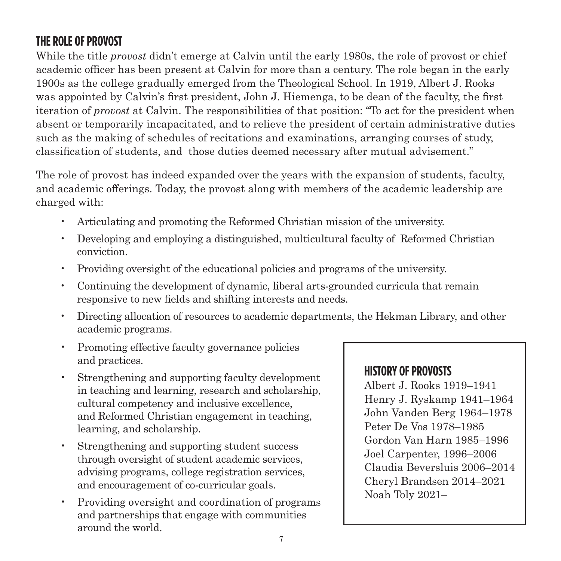#### **THE ROLE OF PROVOST**

While the title *provost* didn't emerge at Calvin until the early 1980s, the role of provost or chief academic officer has been present at Calvin for more than a century. The role began in the early 1900s as the college gradually emerged from the Theological School. In 1919, Albert J. Rooks was appointed by Calvin's frst president, John J. Hiemenga, to be dean of the faculty, the frst iteration of *provost* at Calvin. The responsibilities of that position: "To act for the president when absent or temporarily incapacitated, and to relieve the president of certain administrative duties such as the making of schedules of recitations and examinations, arranging courses of study, classifcation of students, and those duties deemed necessary after mutual advisement."

The role of provost has indeed expanded over the years with the expansion of students, faculty, and academic oferings. Today, the provost along with members of the academic leadership are charged with:

- Articulating and promoting the Reformed Christian mission of the university.
- Developing and employing a distinguished, multicultural faculty of Reformed Christian conviction.
- Providing oversight of the educational policies and programs of the university.
- Continuing the development of dynamic, liberal arts-grounded curricula that remain responsive to new felds and shifting interests and needs.
- Directing allocation of resources to academic departments, the Hekman Library, and other academic programs.
- Promoting effective faculty governance policies and practices.
- Strengthening and supporting faculty development<br>in teaching and learning, research and scholarship,<br>cultural competency and inclusive excellence,<br>and Reformed Christian engagement in teaching,<br>looming and scholarship.<br>learning, and scholarship.
- Strengthening and supporting student success<br>through oversight of student academic services,<br>advising programs, college registration services,<br>and encouragement of co-curricular goals.<br>There is the control of the control
- Providing oversight and coordination of programs and partnerships that engage with communities around the world.

#### **HISTORY OF PROVOSTS**

Gordon Van Harn 1985–1996 Noah Toly 2021–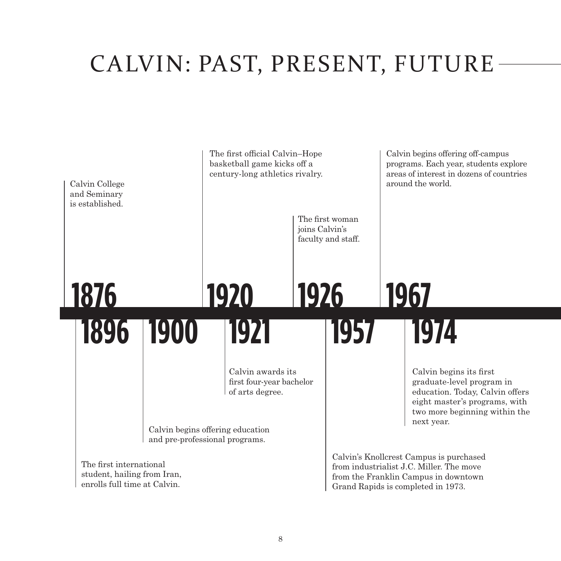### CALVIN: PAST, PRESENT, FUTURE

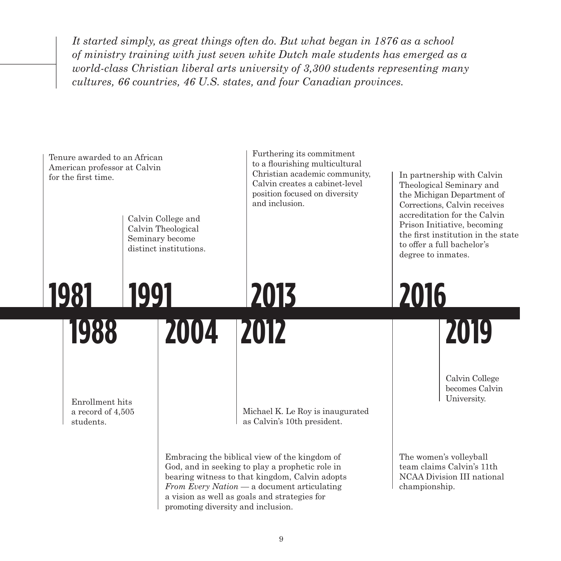*It started simply, as great things often do. But what began in 1876 as a school of ministry training with just seven white Dutch male students has emerged as a world-class Christian liberal arts university of 3,300 students representing many cultures, 66 countries, 46 U.S. states, and four Canadian provinces.* 

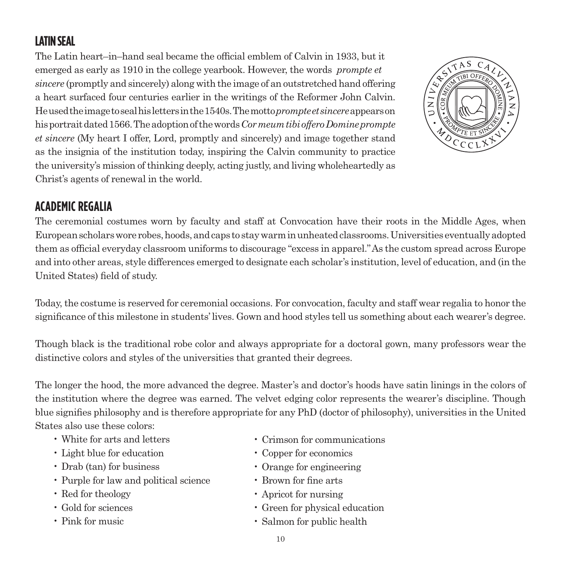#### **LATIN SEAL**

The Latin heart–in–hand seal became the official emblem of Calvin in 1933, but it emerged as early as 1910 in the college yearbook. However, the words *prompte et sincere* (promptly and sincerely) along with the image of an outstretched hand ofering a heart surfaced four centuries earlier in the writings of the Reformer John Calvin. He used the image to seal his letters in the 1540s. The motto*prompte et sincere*appears on his portrait dated 1566. The adoption of the words*Cor meum tibi ofero Domine prompte et sincere* (My heart I offer, Lord, promptly and sincerely) and image together stand as the insignia of the institution today, inspiring the Calvin community to practice the university's mission of thinking deeply, acting justly, and living wholeheartedly as Christ's agents of renewal in the world.



#### **ACADEMIC REGALIA**

The ceremonial costumes worn by faculty and staff at Convocation have their roots in the Middle Ages, when European scholars wore robes, hoods, and caps to stay warm in unheated classrooms. Universities eventually adopted them as official everyday classroom uniforms to discourage "excess in apparel." As the custom spread across Europe and into other areas, style diferences emerged to designate each scholar's institution, level of education, and (in the United States) feld of study.

Today, the costume is reserved for ceremonial occasions. For convocation, faculty and staff wear regalia to honor the signifcance of this milestone in students' lives. Gown and hood styles tell us something about each wearer's degree.

Though black is the traditional robe color and always appropriate for a doctoral gown, many professors wear the distinctive colors and styles of the universities that granted their degrees.

The longer the hood, the more advanced the degree. Master's and doctor's hoods have satin linings in the colors of the institution where the degree was earned. The velvet edging color represents the wearer's discipline. Though blue signifes philosophy and is therefore appropriate for any PhD (doctor of philosophy), universities in the United States also use these colors:

- 
- Light blue for education Copper for economics
- Drab (tan) for business Orange for engineering
- Purple for law and political science Brown for fine arts
- 
- 
- 
- White for arts and letters Crimson for communications
	-
	-
	-
- Red for theology Apricot for nursing
- Gold for sciences Green for physical education
- Pink for music Salmon for public health